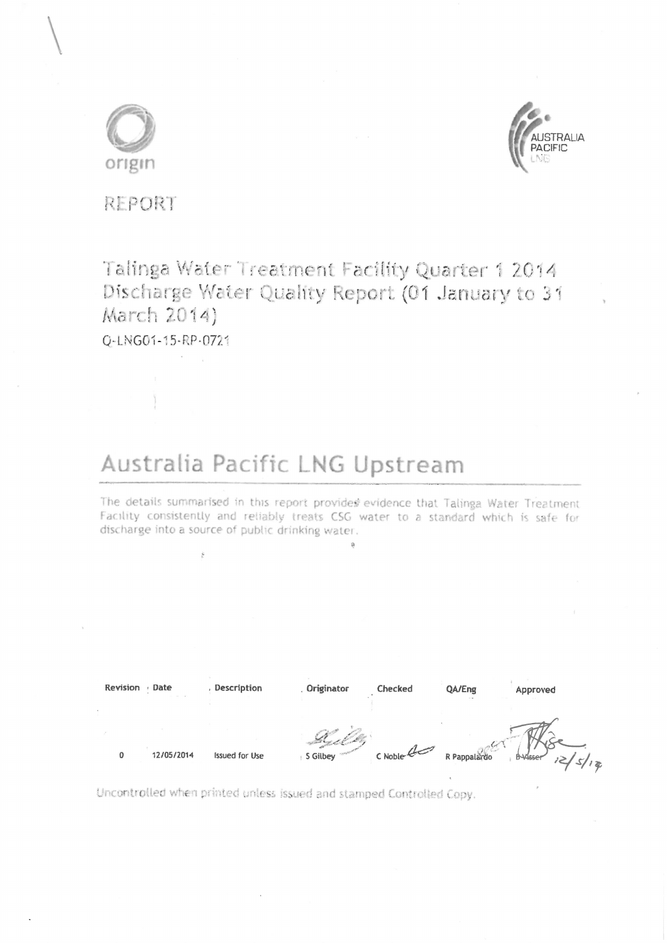



REPORT

# Talinga Water Treatment Facility Quarter 1 2014 Discharge Water Quality Report (01 January to 31 March 2014)

O-LNG01-15-RP-0721

# Australia Pacific LNG Upstream

The details summarised in this report provides evidence that Talinga Water Treatment Facility consistently and reliably treats CSG water to a standard which is safe for discharge into a source of public drinking water.

| Revision | Date<br><b>STATE OF STREET</b> | Description           | Originator                 | Checked       | QA/Eng<br>$\sim$ $-$ | Approved                    |
|----------|--------------------------------|-----------------------|----------------------------|---------------|----------------------|-----------------------------|
| 0        | 12/05/2014                     | <b>Issued for Use</b> | <b>CONGRES</b><br>5 Gilbey | $C$ Noble $Q$ | R Pappalardo         | 12/s/18<br><b>B</b> -Visser |

Uncontrolled when printed unless issued and stamped Controlled Copy.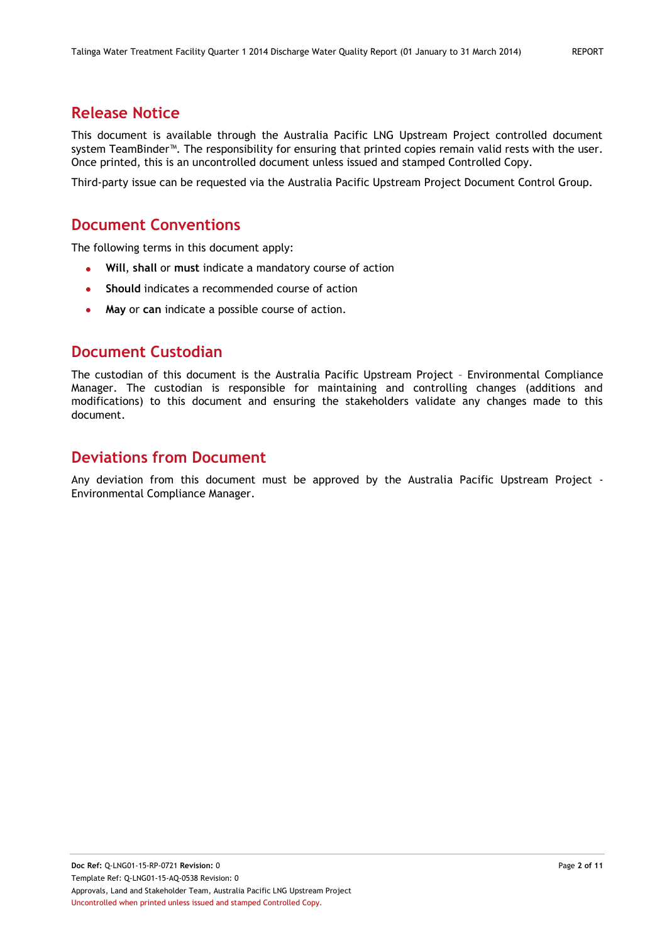# **Release Notice**

This document is available through the Australia Pacific LNG Upstream Project controlled document system TeamBinder™. The responsibility for ensuring that printed copies remain valid rests with the user. Once printed, this is an uncontrolled document unless issued and stamped Controlled Copy.

Third-party issue can be requested via the Australia Pacific Upstream Project Document Control Group.

## **Document Conventions**

The following terms in this document apply:

- **Will**, **shall** or **must** indicate a mandatory course of action
- **Should** indicates a recommended course of action
- **May** or **can** indicate a possible course of action.  $\bullet$

# **Document Custodian**

The custodian of this document is the Australia Pacific Upstream Project – Environmental Compliance Manager. The custodian is responsible for maintaining and controlling changes (additions and modifications) to this document and ensuring the stakeholders validate any changes made to this document.

# **Deviations from Document**

Any deviation from this document must be approved by the Australia Pacific Upstream Project - Environmental Compliance Manager.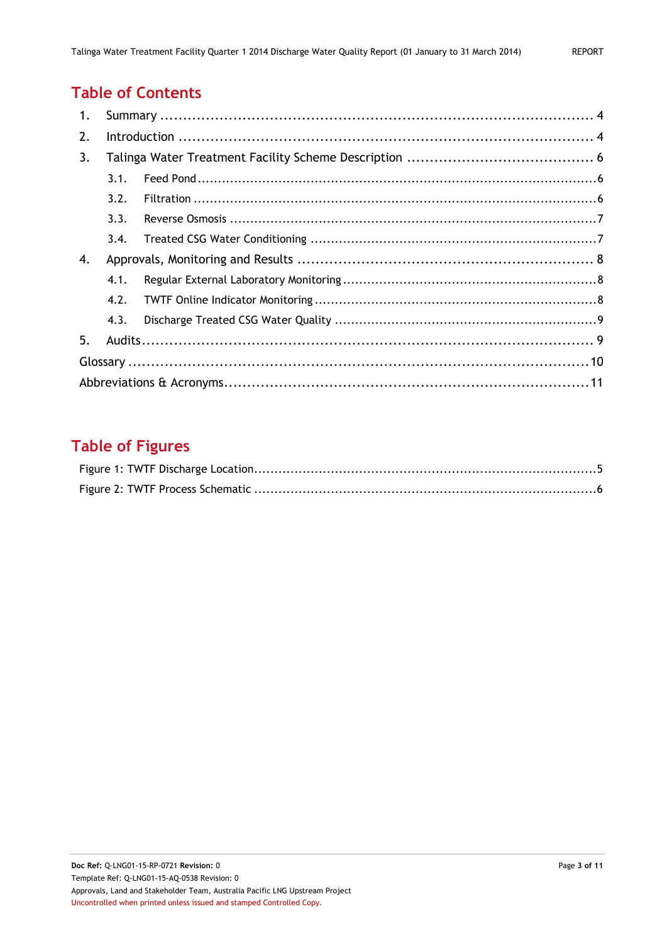# **Table of Contents**

| 1. |      |  |  |
|----|------|--|--|
| 2. |      |  |  |
| 3. |      |  |  |
|    | 3.1. |  |  |
|    | 3.2. |  |  |
|    | 3.3. |  |  |
|    | 3.4. |  |  |
| 4. |      |  |  |
|    | 4.1. |  |  |
|    | 4.2. |  |  |
|    | 4.3. |  |  |
| 5. |      |  |  |
|    |      |  |  |
|    |      |  |  |

# **Table of Figures**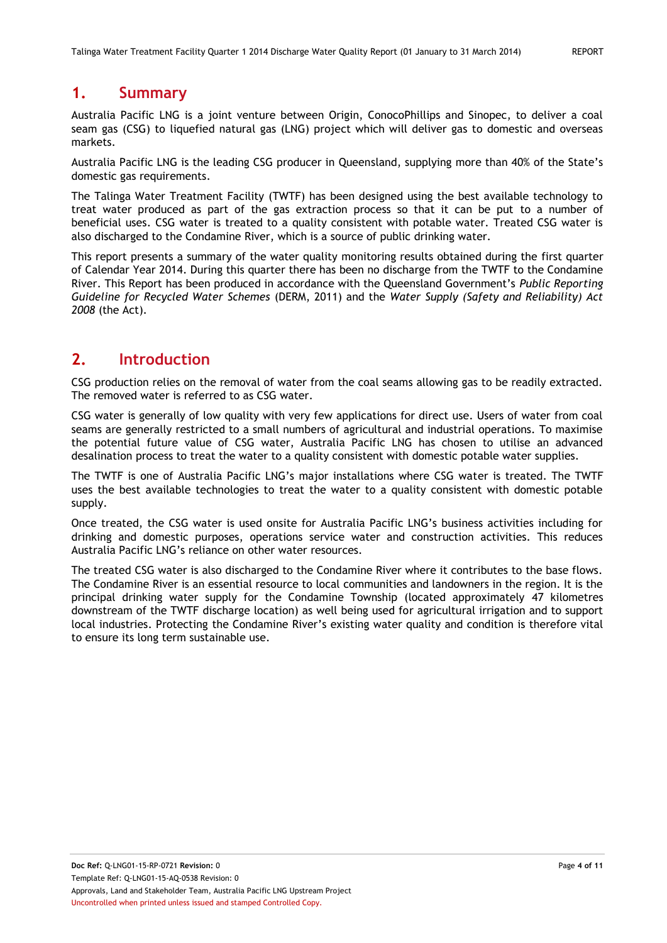# <span id="page-3-0"></span>**1. Summary**

Australia Pacific LNG is a joint venture between Origin, ConocoPhillips and Sinopec, to deliver a coal seam gas (CSG) to liquefied natural gas (LNG) project which will deliver gas to domestic and overseas markets.

Australia Pacific LNG is the leading CSG producer in Queensland, supplying more than 40% of the State's domestic gas requirements.

The Talinga Water Treatment Facility (TWTF) has been designed using the best available technology to treat water produced as part of the gas extraction process so that it can be put to a number of beneficial uses. CSG water is treated to a quality consistent with potable water. Treated CSG water is also discharged to the Condamine River, which is a source of public drinking water.

This report presents a summary of the water quality monitoring results obtained during the first quarter of Calendar Year 2014. During this quarter there has been no discharge from the TWTF to the Condamine River. This Report has been produced in accordance with the Queensland Government's *Public Reporting Guideline for Recycled Water Schemes* (DERM, 2011) and the *Water Supply (Safety and Reliability) Act 2008* (the Act).

## <span id="page-3-1"></span>**2. Introduction**

CSG production relies on the removal of water from the coal seams allowing gas to be readily extracted. The removed water is referred to as CSG water.

CSG water is generally of low quality with very few applications for direct use. Users of water from coal seams are generally restricted to a small numbers of agricultural and industrial operations. To maximise the potential future value of CSG water, Australia Pacific LNG has chosen to utilise an advanced desalination process to treat the water to a quality consistent with domestic potable water supplies.

The TWTF is one of Australia Pacific LNG's major installations where CSG water is treated. The TWTF uses the best available technologies to treat the water to a quality consistent with domestic potable supply.

Once treated, the CSG water is used onsite for Australia Pacific LNG's business activities including for drinking and domestic purposes, operations service water and construction activities. This reduces Australia Pacific LNG's reliance on other water resources.

The treated CSG water is also discharged to the Condamine River where it contributes to the base flows. The Condamine River is an essential resource to local communities and landowners in the region. It is the principal drinking water supply for the Condamine Township (located approximately 47 kilometres downstream of the TWTF discharge location) as well being used for agricultural irrigation and to support local industries. Protecting the Condamine River's existing water quality and condition is therefore vital to ensure its long term sustainable use.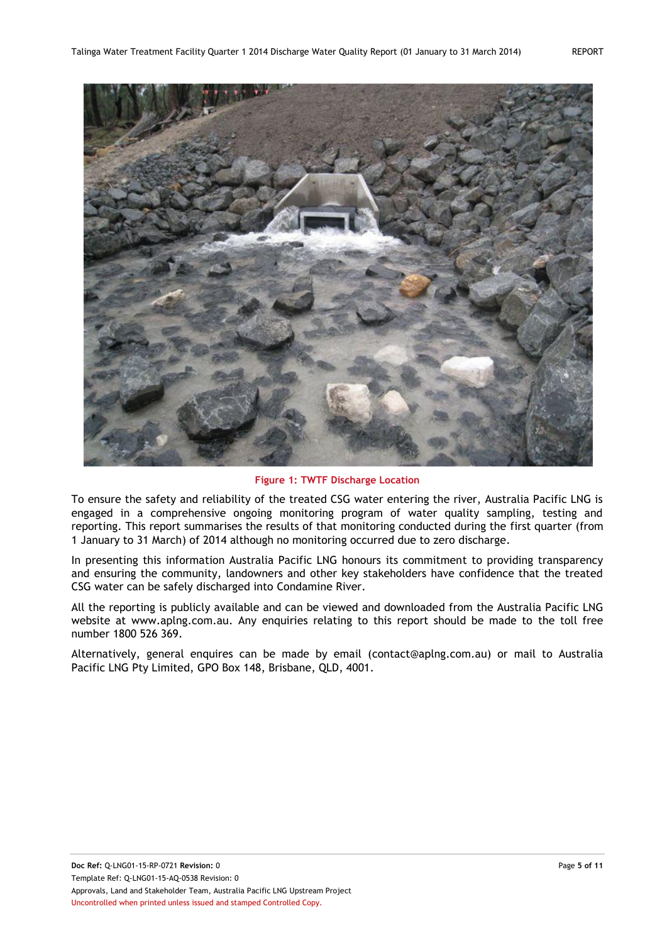

**Figure 1: TWTF Discharge Location**

<span id="page-4-0"></span>To ensure the safety and reliability of the treated CSG water entering the river, Australia Pacific LNG is engaged in a comprehensive ongoing monitoring program of water quality sampling, testing and reporting. This report summarises the results of that monitoring conducted during the first quarter (from 1 January to 31 March) of 2014 although no monitoring occurred due to zero discharge.

In presenting this information Australia Pacific LNG honours its commitment to providing transparency and ensuring the community, landowners and other key stakeholders have confidence that the treated CSG water can be safely discharged into Condamine River.

All the reporting is publicly available and can be viewed and downloaded from the Australia Pacific LNG website at [www.aplng.com.au.](http://www.aplng.com.au/) Any enquiries relating to this report should be made to the toll free number 1800 526 369.

Alternatively, general enquires can be made by email [\(contact@aplng.com.au\)](mailto:contact@aplng.com.au) or mail to Australia Pacific LNG Pty Limited, GPO Box 148, Brisbane, QLD, 4001.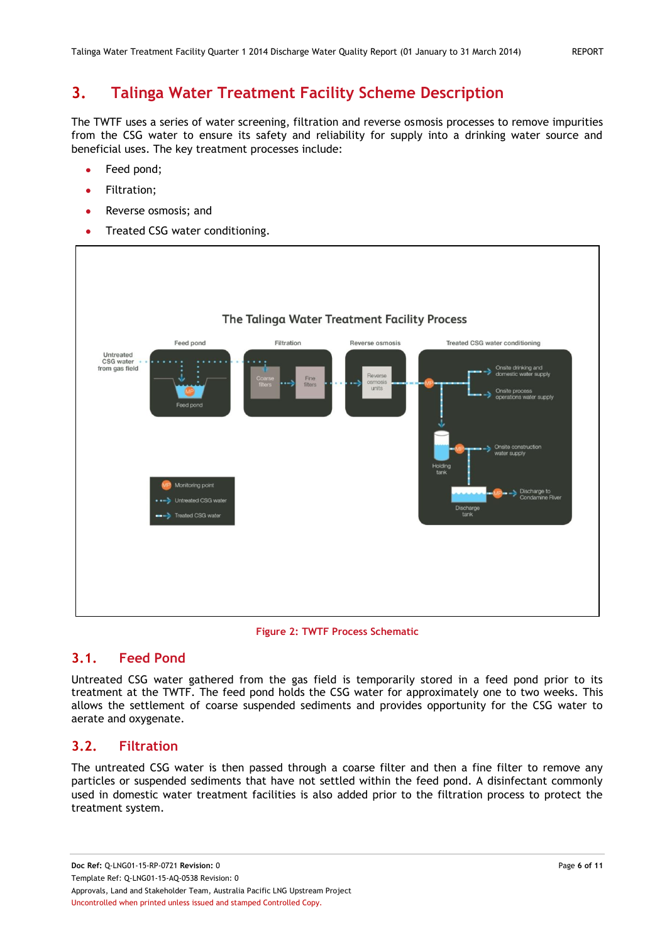# <span id="page-5-0"></span>**3. Talinga Water Treatment Facility Scheme Description**

The TWTF uses a series of water screening, filtration and reverse osmosis processes to remove impurities from the CSG water to ensure its safety and reliability for supply into a drinking water source and beneficial uses. The key treatment processes include:

- Feed pond;
- Filtration; ×
- Reverse osmosis; and
- Treated CSG water conditioning.  $\bullet$



#### **Figure 2: TWTF Process Schematic**

#### <span id="page-5-3"></span><span id="page-5-1"></span>**3.1. Feed Pond**

Untreated CSG water gathered from the gas field is temporarily stored in a feed pond prior to its treatment at the TWTF. The feed pond holds the CSG water for approximately one to two weeks. This allows the settlement of coarse suspended sediments and provides opportunity for the CSG water to aerate and oxygenate.

#### <span id="page-5-2"></span>**3.2. Filtration**

The untreated CSG water is then passed through a coarse filter and then a fine filter to remove any particles or suspended sediments that have not settled within the feed pond. A disinfectant commonly used in domestic water treatment facilities is also added prior to the filtration process to protect the treatment system.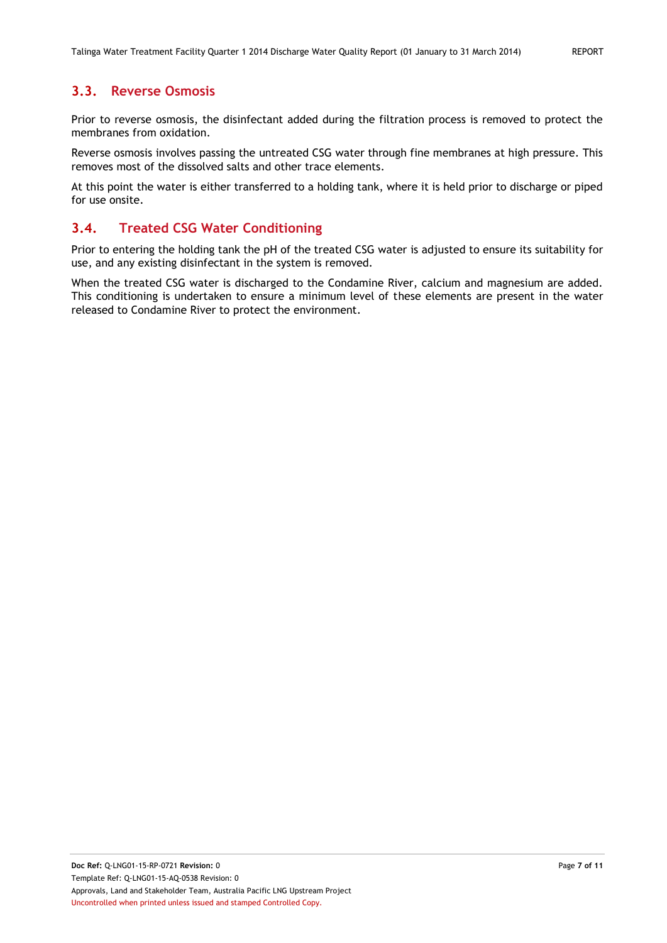#### <span id="page-6-0"></span>**3.3. Reverse Osmosis**

Prior to reverse osmosis, the disinfectant added during the filtration process is removed to protect the membranes from oxidation.

Reverse osmosis involves passing the untreated CSG water through fine membranes at high pressure. This removes most of the dissolved salts and other trace elements.

At this point the water is either transferred to a holding tank, where it is held prior to discharge or piped for use onsite.

#### <span id="page-6-1"></span>**3.4. Treated CSG Water Conditioning**

Prior to entering the holding tank the pH of the treated CSG water is adjusted to ensure its suitability for use, and any existing disinfectant in the system is removed.

When the treated CSG water is discharged to the Condamine River, calcium and magnesium are added. This conditioning is undertaken to ensure a minimum level of these elements are present in the water released to Condamine River to protect the environment.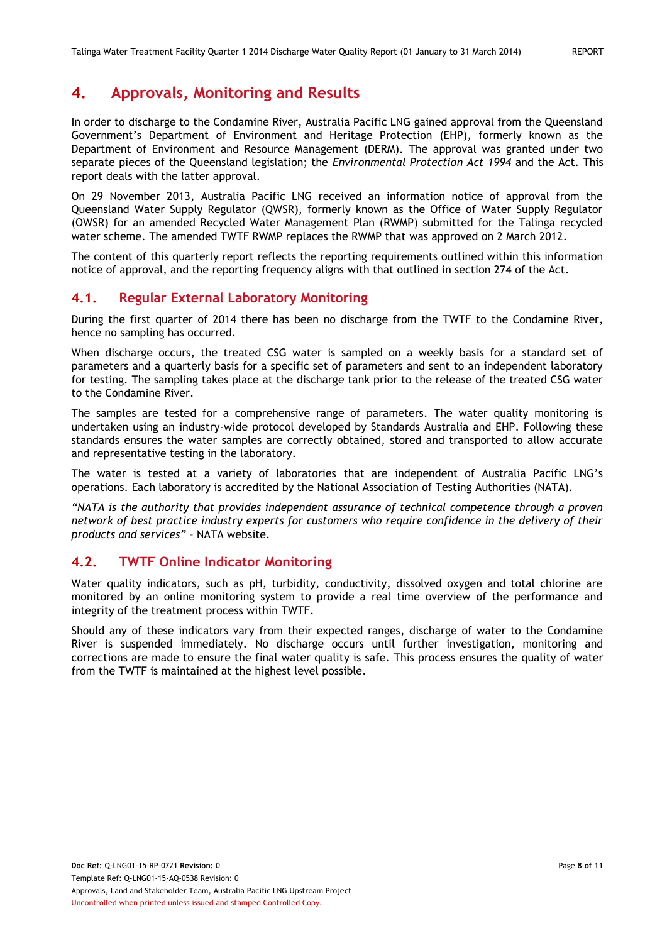# <span id="page-7-0"></span>**4. Approvals, Monitoring and Results**

In order to discharge to the Condamine River, Australia Pacific LNG gained approval from the Queensland Government's Department of Environment and Heritage Protection (EHP), formerly known as the Department of Environment and Resource Management (DERM). The approval was granted under two separate pieces of the Queensland legislation; the *Environmental Protection Act 1994* and the Act. This report deals with the latter approval.

On 29 November 2013, Australia Pacific LNG received an information notice of approval from the Queensland Water Supply Regulator (QWSR), formerly known as the Office of Water Supply Regulator (OWSR) for an amended Recycled Water Management Plan (RWMP) submitted for the Talinga recycled water scheme. The amended TWTF RWMP replaces the RWMP that was approved on 2 March 2012.

The content of this quarterly report reflects the reporting requirements outlined within this information notice of approval, and the reporting frequency aligns with that outlined in section 274 of the Act.

#### <span id="page-7-1"></span>**4.1. Regular External Laboratory Monitoring**

During the first quarter of 2014 there has been no discharge from the TWTF to the Condamine River, hence no sampling has occurred.

When discharge occurs, the treated CSG water is sampled on a weekly basis for a standard set of parameters and a quarterly basis for a specific set of parameters and sent to an independent laboratory for testing. The sampling takes place at the discharge tank prior to the release of the treated CSG water to the Condamine River.

The samples are tested for a comprehensive range of parameters. The water quality monitoring is undertaken using an industry-wide protocol developed by Standards Australia and EHP. Following these standards ensures the water samples are correctly obtained, stored and transported to allow accurate and representative testing in the laboratory.

The water is tested at a variety of laboratories that are independent of Australia Pacific LNG's operations. Each laboratory is accredited by the National Association of Testing Authorities (NATA).

*"NATA is the authority that provides independent assurance of technical competence through a proven network of best practice industry experts for customers who require confidence in the delivery of their products and services"* – NATA website.

#### <span id="page-7-2"></span>**4.2. TWTF Online Indicator Monitoring**

Water quality indicators, such as pH, turbidity, conductivity, dissolved oxygen and total chlorine are monitored by an online monitoring system to provide a real time overview of the performance and integrity of the treatment process within TWTF.

Should any of these indicators vary from their expected ranges, discharge of water to the Condamine River is suspended immediately. No discharge occurs until further investigation, monitoring and corrections are made to ensure the final water quality is safe. This process ensures the quality of water from the TWTF is maintained at the highest level possible.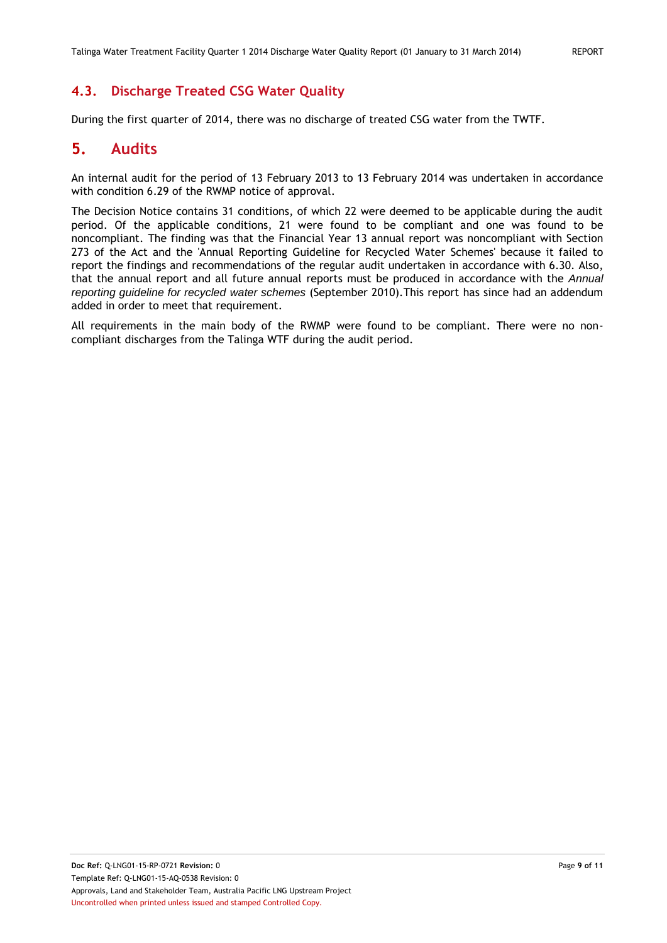### <span id="page-8-0"></span>**4.3. Discharge Treated CSG Water Quality**

During the first quarter of 2014, there was no discharge of treated CSG water from the TWTF.

## <span id="page-8-1"></span>**5. Audits**

An internal audit for the period of 13 February 2013 to 13 February 2014 was undertaken in accordance with condition 6.29 of the RWMP notice of approval.

The Decision Notice contains 31 conditions, of which 22 were deemed to be applicable during the audit period. Of the applicable conditions, 21 were found to be compliant and one was found to be noncompliant. The finding was that the Financial Year 13 annual report was noncompliant with Section 273 of the Act and the 'Annual Reporting Guideline for Recycled Water Schemes' because it failed to report the findings and recommendations of the regular audit undertaken in accordance with 6.30. Also, that the annual report and all future annual reports must be produced in accordance with the *Annual reporting guideline for recycled water schemes* (September 2010).This report has since had an addendum added in order to meet that requirement.

All requirements in the main body of the RWMP were found to be compliant. There were no noncompliant discharges from the Talinga WTF during the audit period.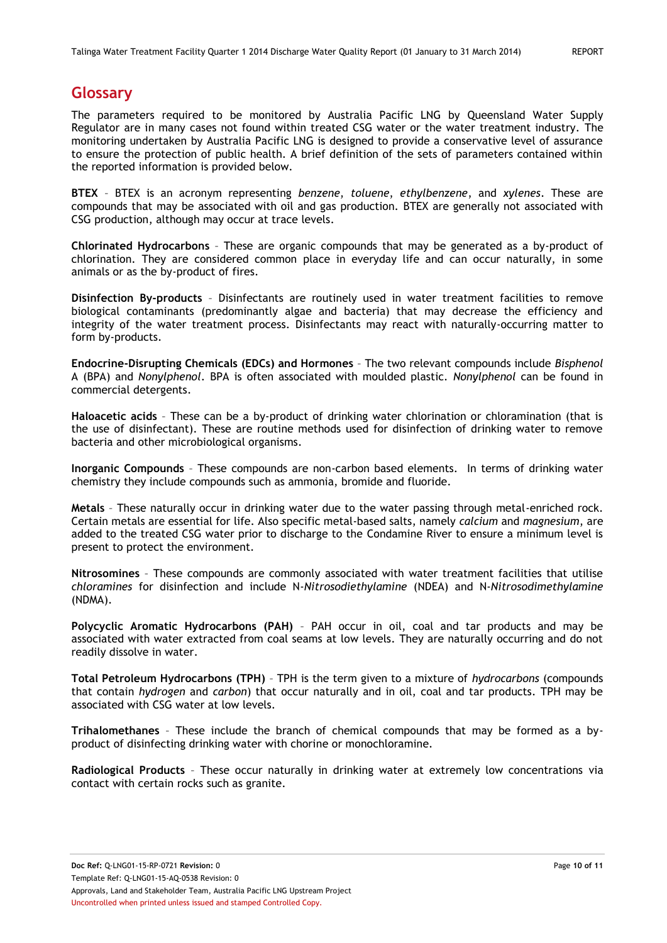### <span id="page-9-0"></span>**Glossary**

The parameters required to be monitored by Australia Pacific LNG by Queensland Water Supply Regulator are in many cases not found within treated CSG water or the water treatment industry. The monitoring undertaken by Australia Pacific LNG is designed to provide a conservative level of assurance to ensure the protection of public health. A brief definition of the sets of parameters contained within the reported information is provided below.

**BTEX** – BTEX is an acronym representing *benzene*, *toluene*, *ethylbenzene*, and *xylenes*. These are compounds that may be associated with oil and gas production. BTEX are generally not associated with CSG production, although may occur at trace levels.

**Chlorinated Hydrocarbons** – These are organic compounds that may be generated as a by-product of chlorination. They are considered common place in everyday life and can occur naturally, in some animals or as the by-product of fires.

**Disinfection By-products** – Disinfectants are routinely used in water treatment facilities to remove biological contaminants (predominantly algae and bacteria) that may decrease the efficiency and integrity of the water treatment process. Disinfectants may react with naturally-occurring matter to form by-products.

**Endocrine-Disrupting Chemicals (EDCs) and Hormones** – The two relevant compounds include *Bisphenol* A (BPA) and *Nonylphenol*. BPA is often associated with moulded plastic. *Nonylphenol* can be found in commercial detergents.

**Haloacetic acids** – These can be a by-product of drinking water chlorination or chloramination (that is the use of disinfectant). These are routine methods used for disinfection of drinking water to remove bacteria and other microbiological organisms.

**Inorganic Compounds** – These compounds are non-carbon based elements. In terms of drinking water chemistry they include compounds such as ammonia, bromide and fluoride.

**Metals** – These naturally occur in drinking water due to the water passing through metal-enriched rock. Certain metals are essential for life. Also specific metal-based salts, namely *calcium* and *magnesium*, are added to the treated CSG water prior to discharge to the Condamine River to ensure a minimum level is present to protect the environment.

**Nitrosomines** – These compounds are commonly associated with water treatment facilities that utilise *chloramines* for disinfection and include N-*Nitrosodiethylamine* (NDEA) and N-*Nitrosodimethylamine* (NDMA).

**Polycyclic Aromatic Hydrocarbons (PAH)** – PAH occur in oil, coal and tar products and may be associated with water extracted from coal seams at low levels. They are naturally occurring and do not readily dissolve in water.

**Total Petroleum Hydrocarbons (TPH)** – TPH is the term given to a mixture of *hydrocarbons* (compounds that contain *hydrogen* and *carbon*) that occur naturally and in oil, coal and tar products. TPH may be associated with CSG water at low levels.

**Trihalomethanes** – These include the branch of chemical compounds that may be formed as a byproduct of disinfecting drinking water with chorine or monochloramine.

**Radiological Products** – These occur naturally in drinking water at extremely low concentrations via contact with certain rocks such as granite.